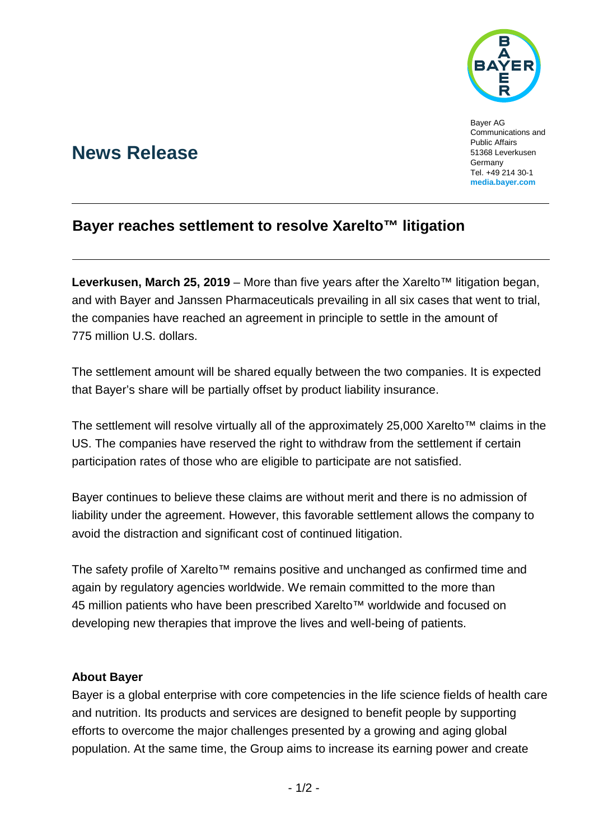

Bayer AG Communications and Public Affairs 51368 Leverkusen **Germany** Tel. +49 214 30-1 **[media.bayer.com](http://media.bayer.de/)**

# **News Release**

## **Bayer reaches settlement to resolve Xarelto™ litigation**

**Leverkusen, March 25, 2019** – More than five years after the Xarelto™ litigation began, and with Bayer and Janssen Pharmaceuticals prevailing in all six cases that went to trial, the companies have reached an agreement in principle to settle in the amount of 775 million U.S. dollars.

The settlement amount will be shared equally between the two companies. It is expected that Bayer's share will be partially offset by product liability insurance.

The settlement will resolve virtually all of the approximately 25,000 Xarelto™ claims in the US. The companies have reserved the right to withdraw from the settlement if certain participation rates of those who are eligible to participate are not satisfied.

Bayer continues to believe these claims are without merit and there is no admission of liability under the agreement. However, this favorable settlement allows the company to avoid the distraction and significant cost of continued litigation.

The safety profile of Xarelto™ remains positive and unchanged as confirmed time and again by regulatory agencies worldwide. We remain committed to the more than 45 million patients who have been prescribed Xarelto™ worldwide and focused on developing new therapies that improve the lives and well-being of patients.

### **About Bayer**

Bayer is a global enterprise with core competencies in the life science fields of health care and nutrition. Its products and services are designed to benefit people by supporting efforts to overcome the major challenges presented by a growing and aging global population. At the same time, the Group aims to increase its earning power and create